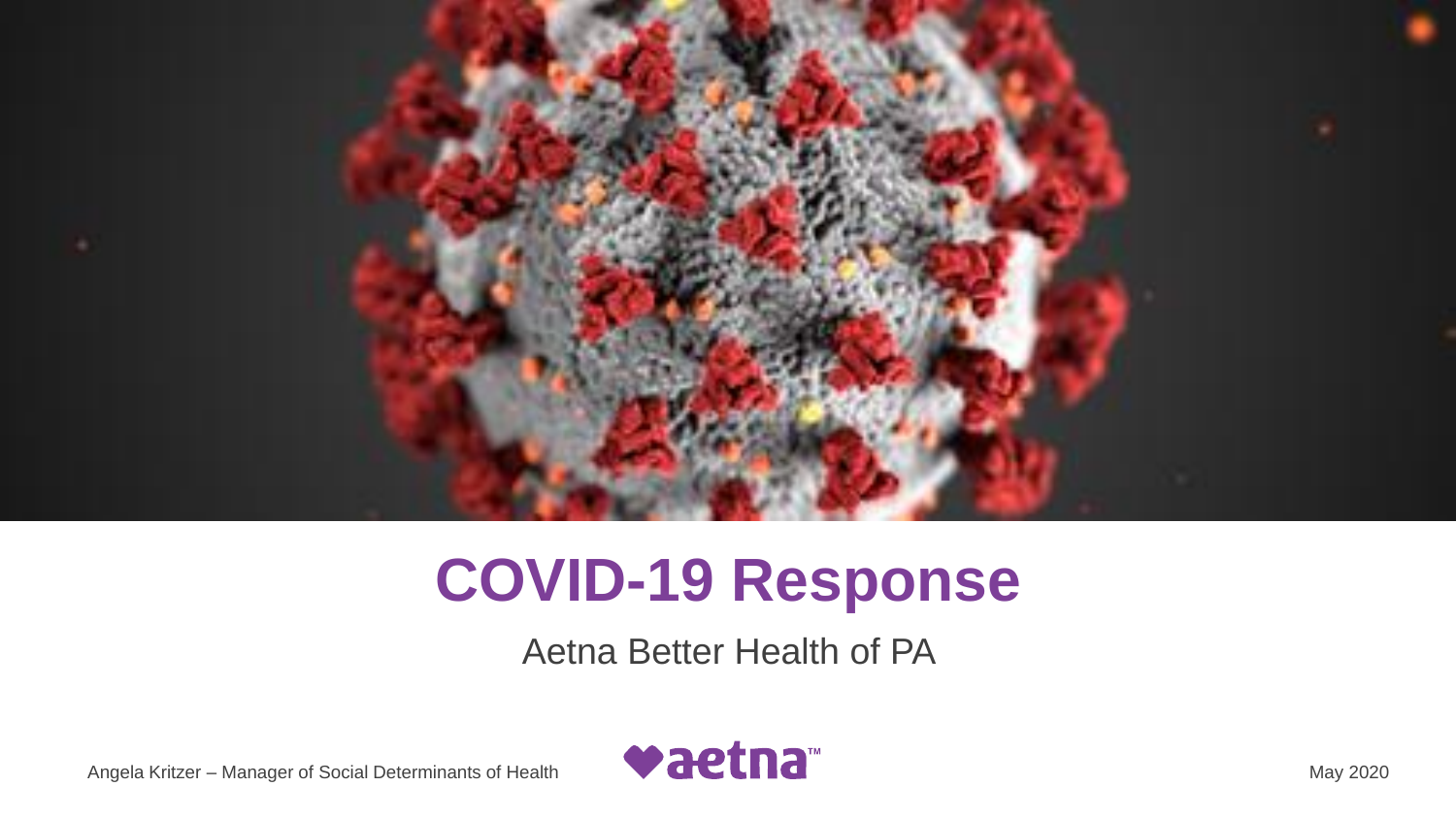

# **COVID-19 Response**

Aetna Better Health of PA

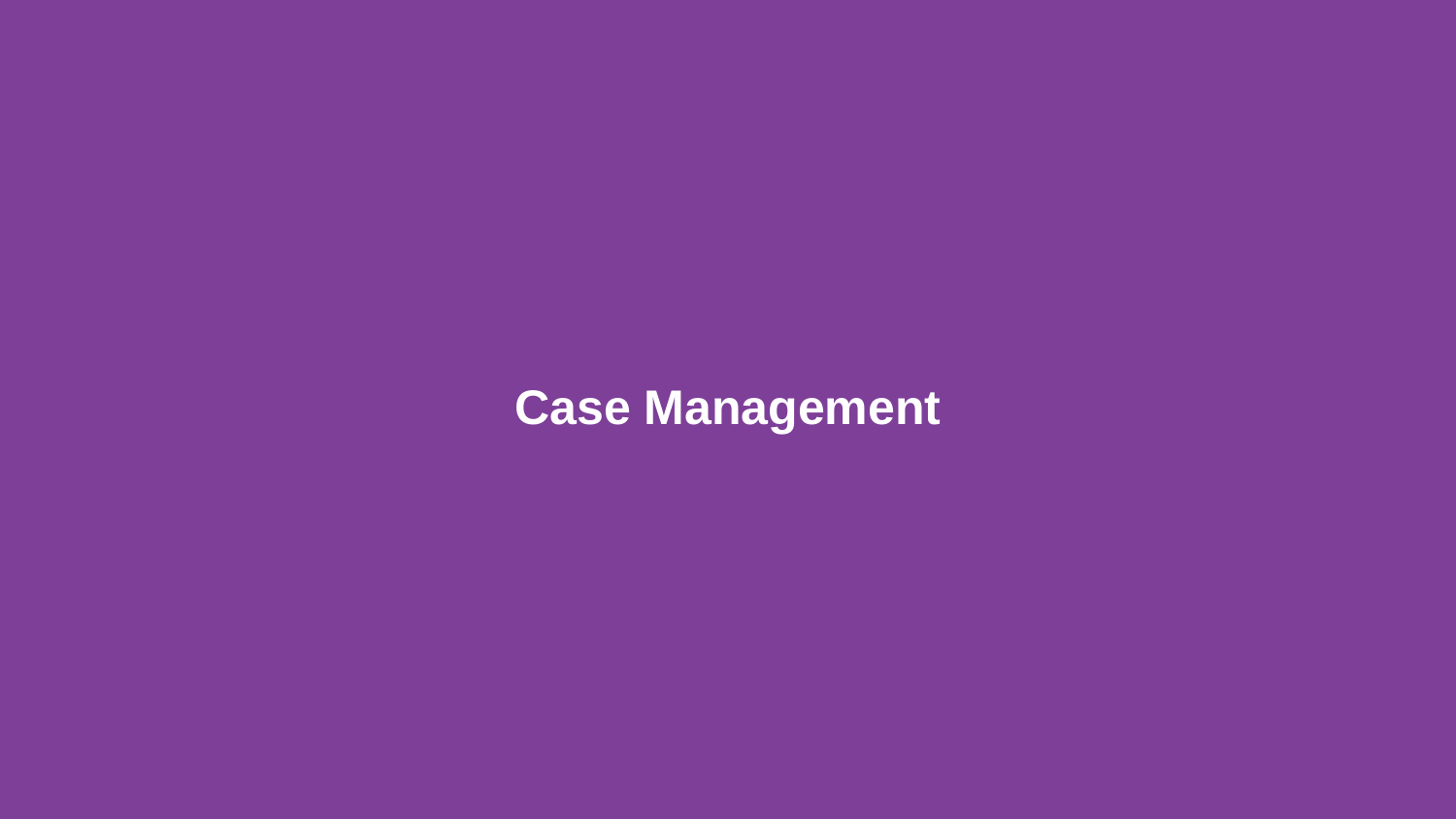# **Case Management**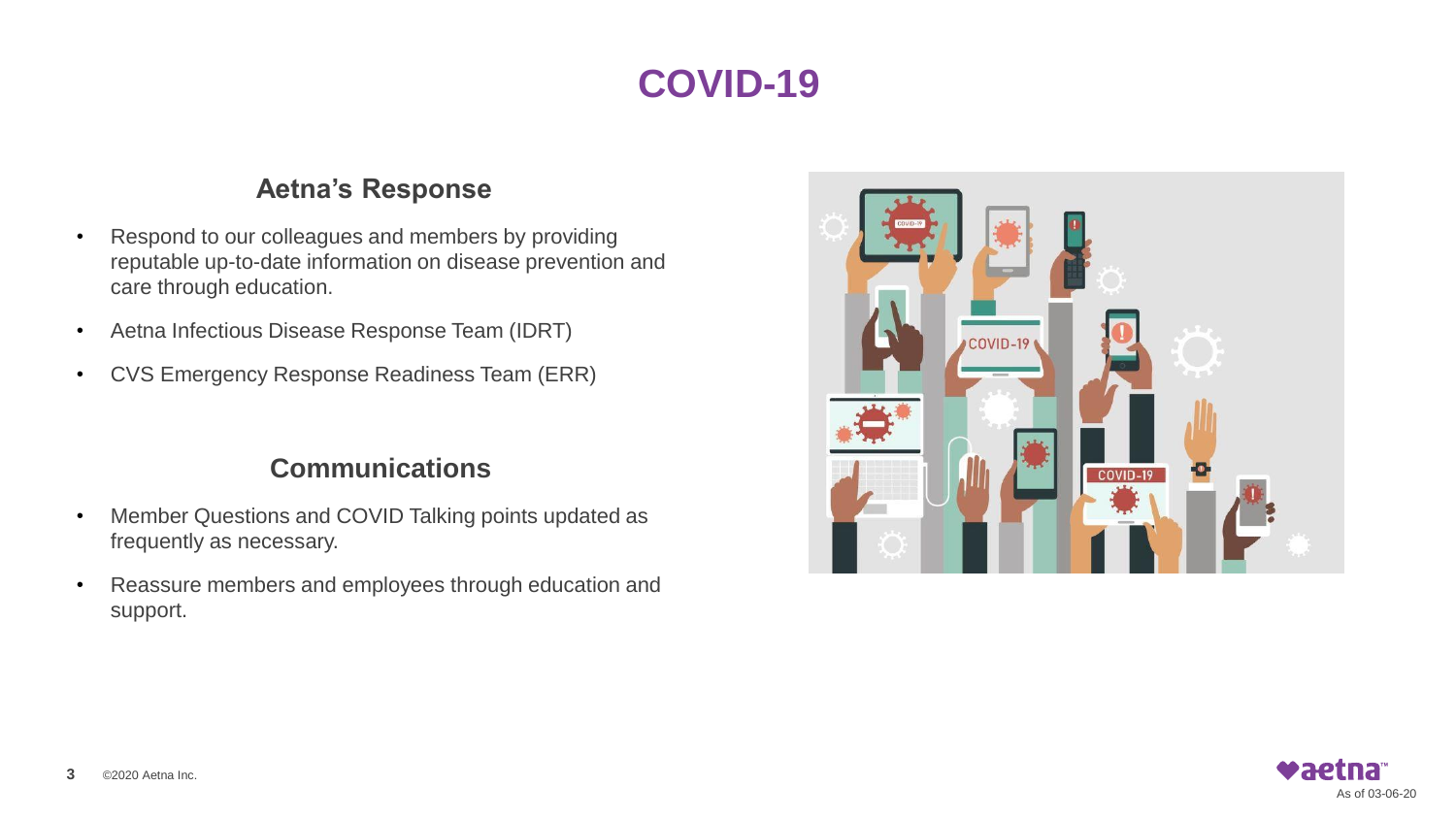### **COVID-19**

#### **Aetna's Response**

- Respond to our colleagues and members by providing reputable up-to-date information on disease prevention and care through education.
- Aetna Infectious Disease Response Team (IDRT)
- CVS Emergency Response Readiness Team (ERR)

#### **Communications**

- Member Questions and COVID Talking points updated as frequently as necessary.
- Reassure members and employees through education and support.



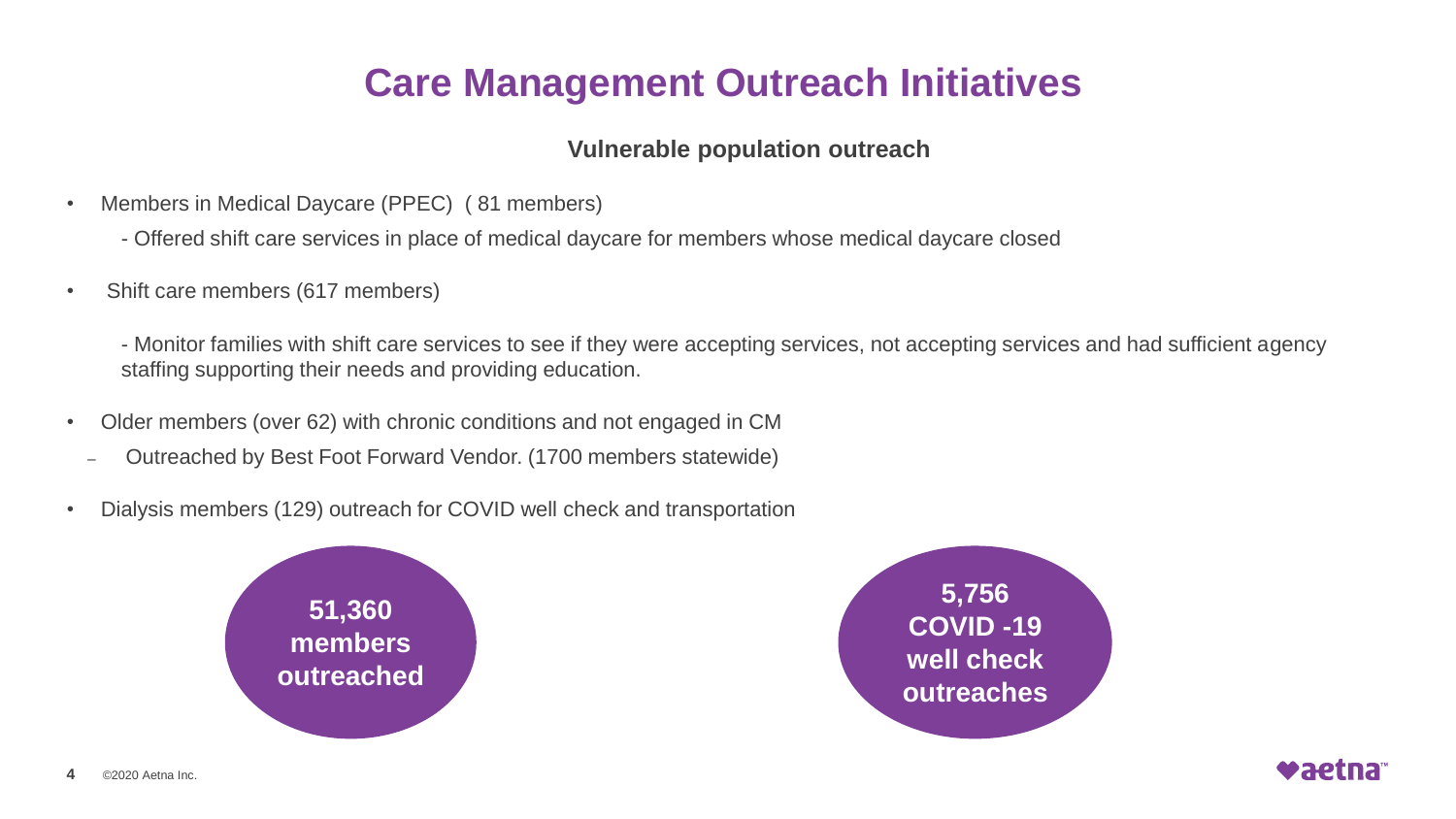### **Care Management Outreach Initiatives**

#### **Vulnerable population outreach**

- Members in Medical Daycare (PPEC) ( 81 members)
	- Offered shift care services in place of medical daycare for members whose medical daycare closed
- Shift care members (617 members)

- Monitor families with shift care services to see if they were accepting services, not accepting services and had sufficient agency staffing supporting their needs and providing education.

- Older members (over 62) with chronic conditions and not engaged in CM
	- Outreached by Best Foot Forward Vendor. (1700 members statewide)
- Dialysis members (129) outreach for COVID well check and transportation





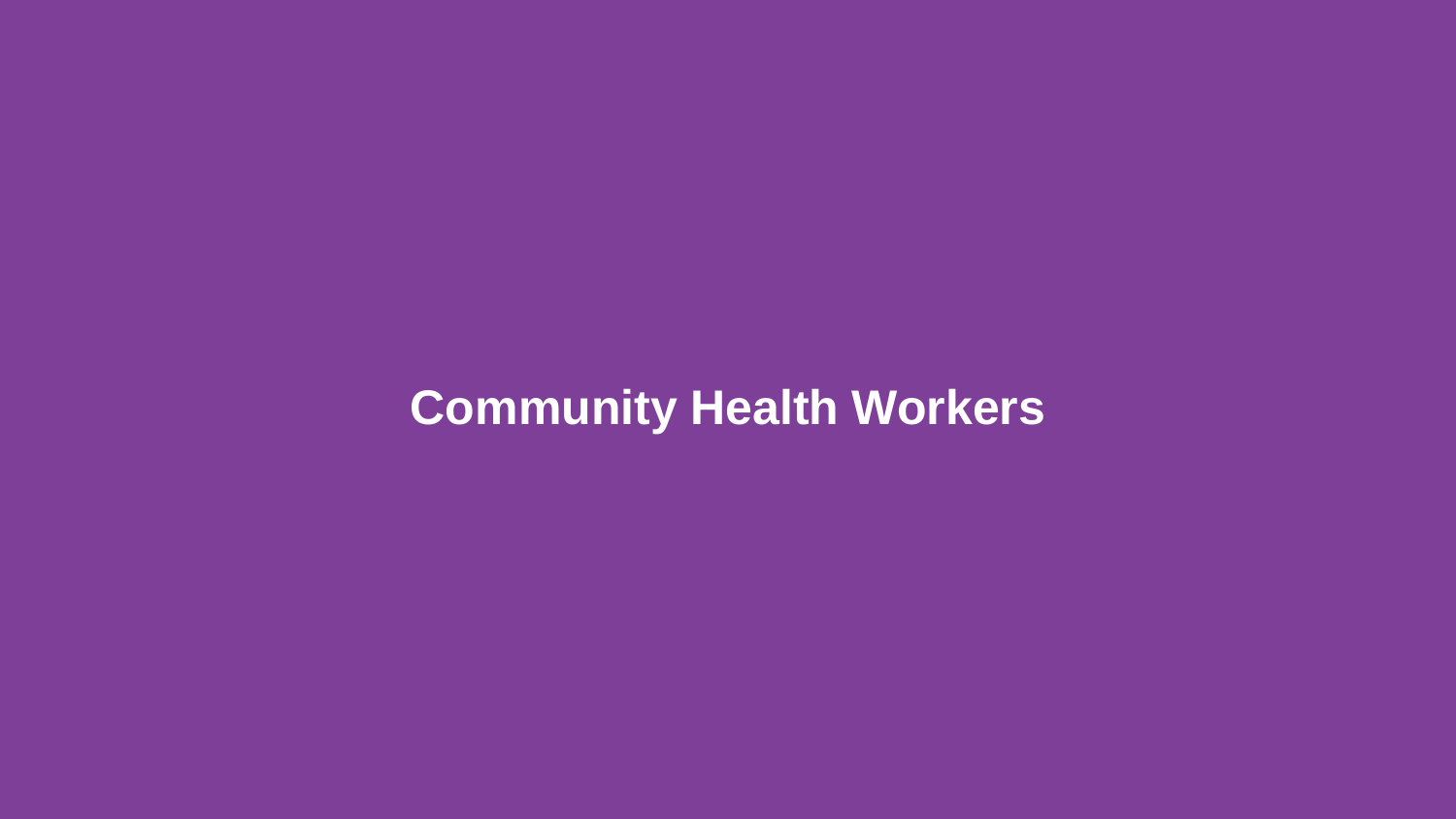# **Community Health Workers**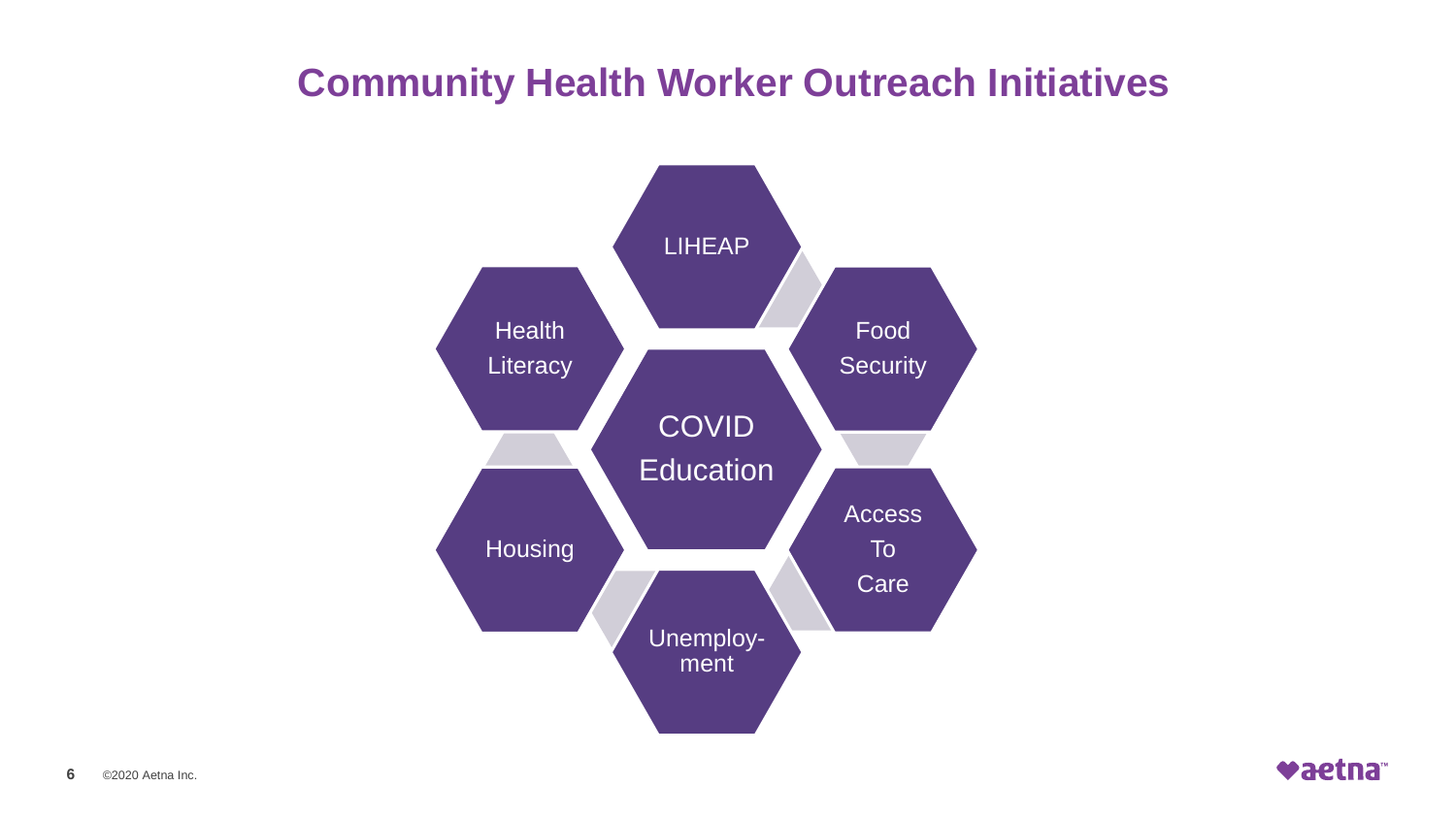### **Community Health Worker Outreach Initiatives**



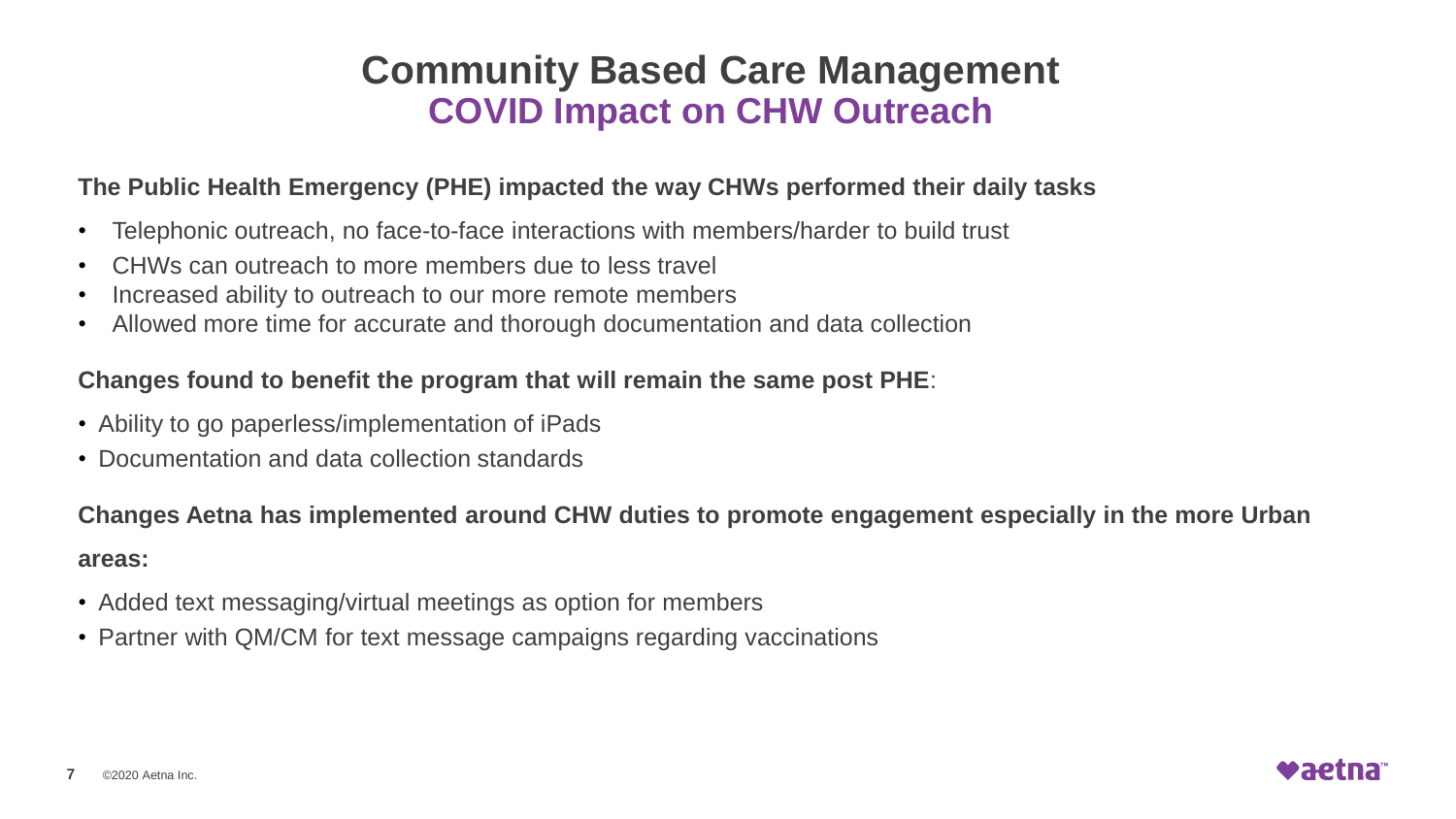### **Community Based Care Management COVID Impact on CHW Outreach**

#### **The Public Health Emergency (PHE) impacted the way CHWs performed their daily tasks**

- Telephonic outreach, no face-to-face interactions with members/harder to build trust
- CHWs can outreach to more members due to less travel
- Increased ability to outreach to our more remote members
- Allowed more time for accurate and thorough documentation and data collection

#### **Changes found to benefit the program that will remain the same post PHE**:

- Ability to go paperless/implementation of iPads
- Documentation and data collection standards

**Changes Aetna has implemented around CHW duties to promote engagement especially in the more Urban areas:**

- Added text messaging/virtual meetings as option for members
- Partner with QM/CM for text message campaigns regarding vaccinations

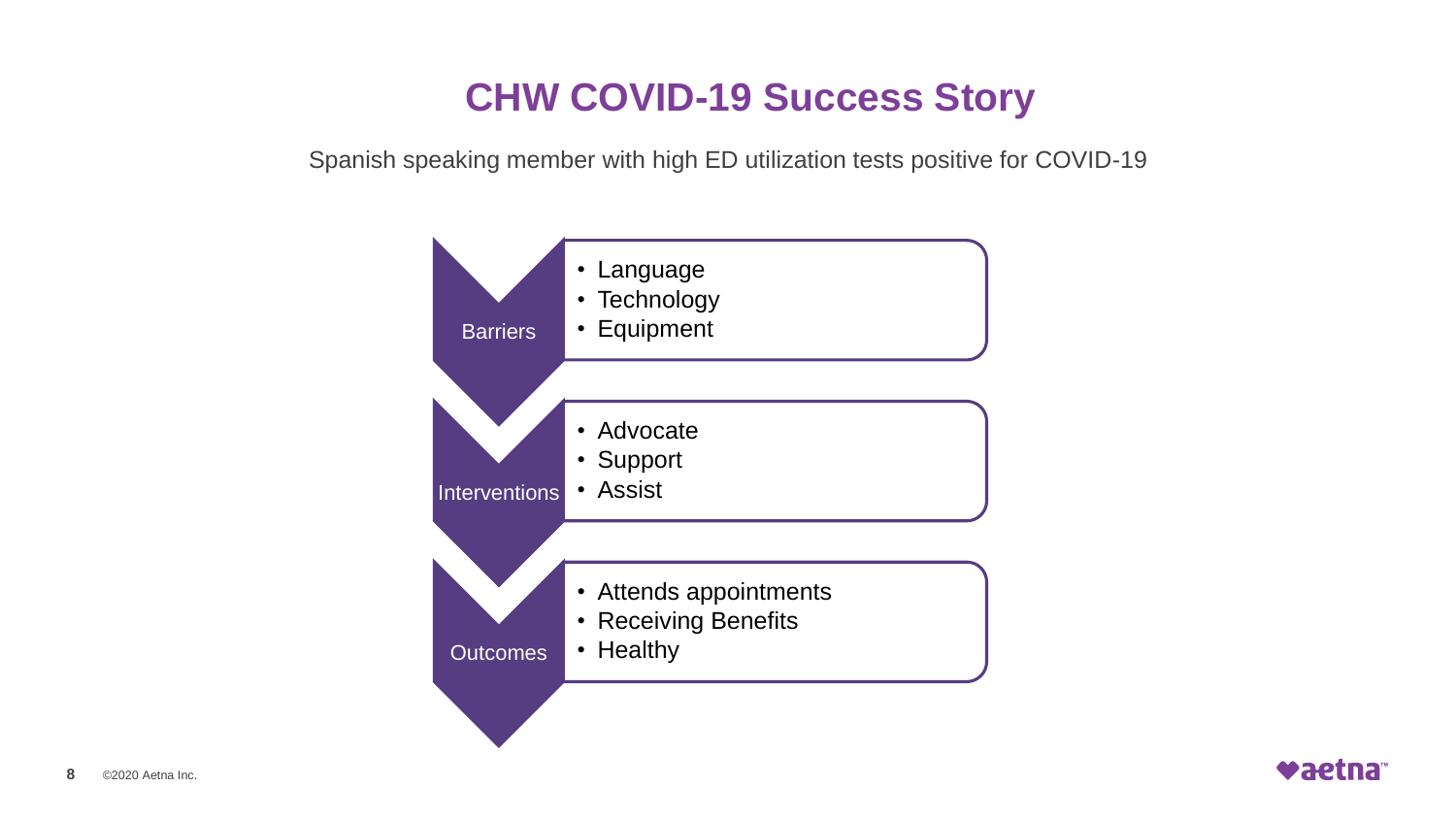### **CHW COVID-19 Success Story**

Spanish speaking member with high ED utilization tests positive for COVID-19



vaetna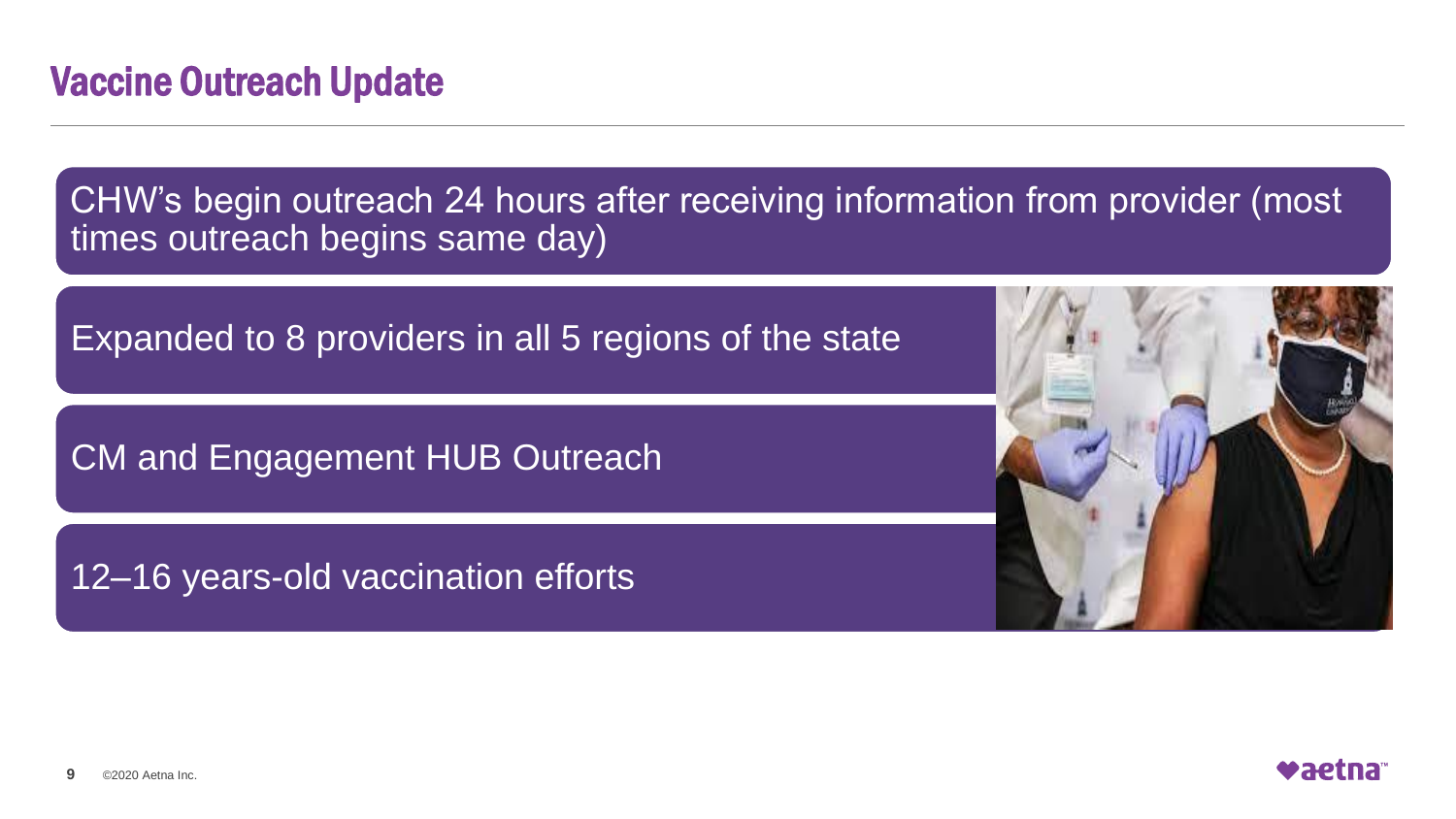CHW's begin outreach 24 hours after receiving information from provider (most times outreach begins same day)

Expanded to 8 providers in all 5 regions of the state

CM and Engagement HUB Outreach

12–16 years-old vaccination efforts



**Waetna**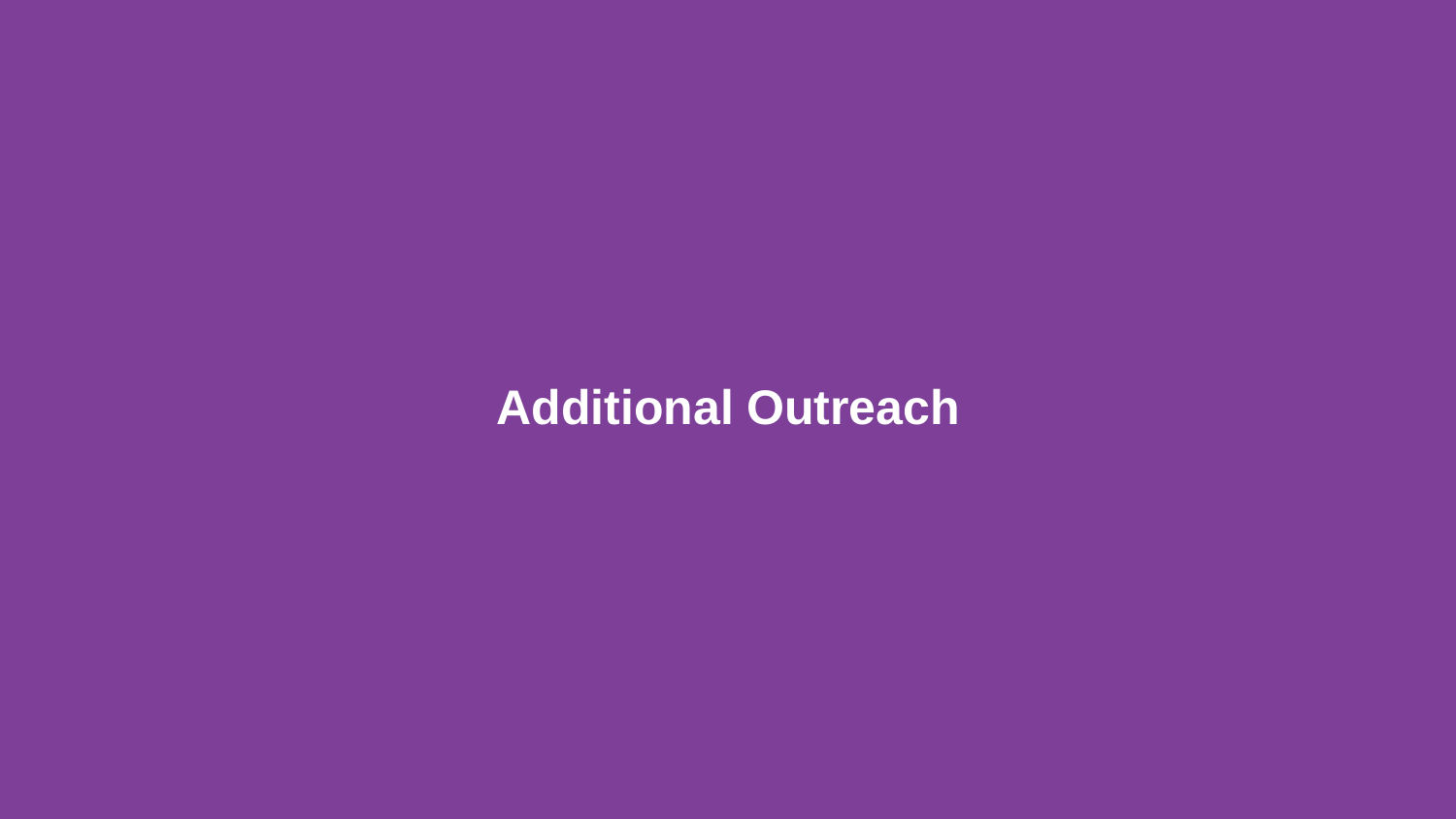# **Additional Outreach**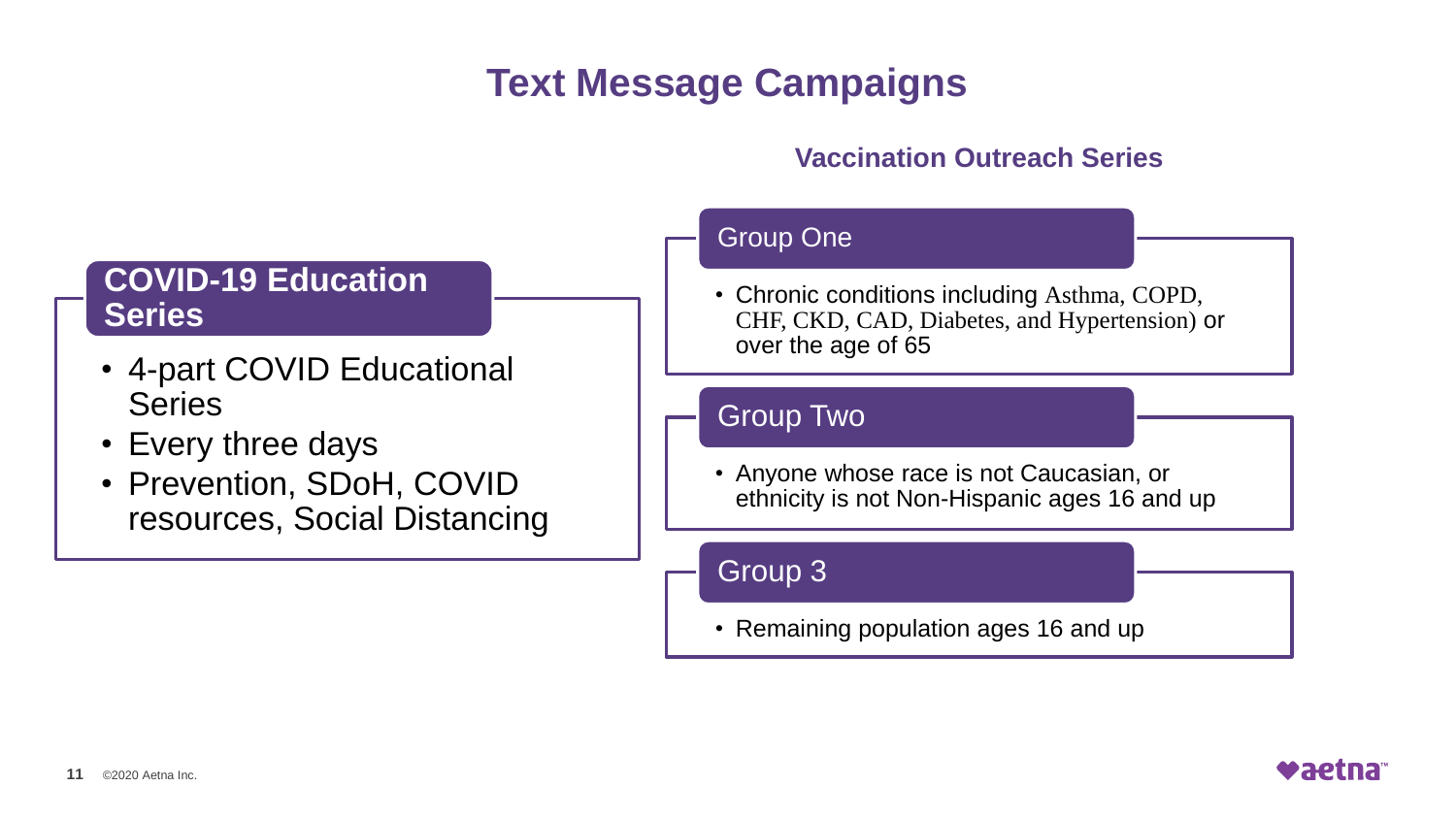### **Text Message Campaigns**

#### **Vaccination Outreach Series**

### **COVID-19 Education Series**

- 4-part COVID Educational **Series**
- Every three days
- Prevention, SDoH, COVID resources, Social Distancing

#### Group One

• Chronic conditions including Asthma, COPD, CHF, CKD, CAD, Diabetes, and Hypertension) or over the age of 65

#### Group Two

• Anyone whose race is not Caucasian, or ethnicity is not Non-Hispanic ages 16 and up

Group 3

• Remaining population ages 16 and up

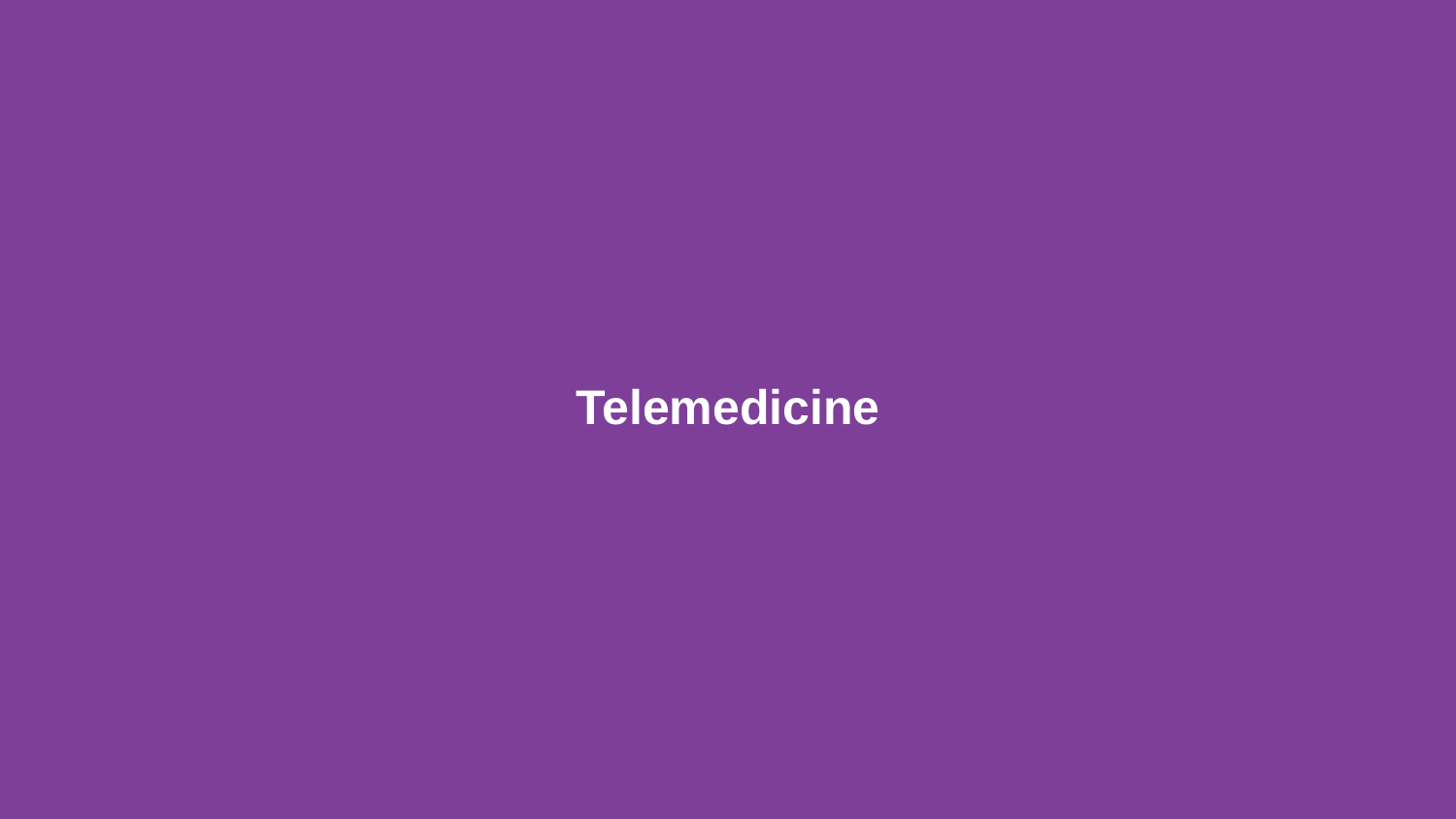# **Telemedicine**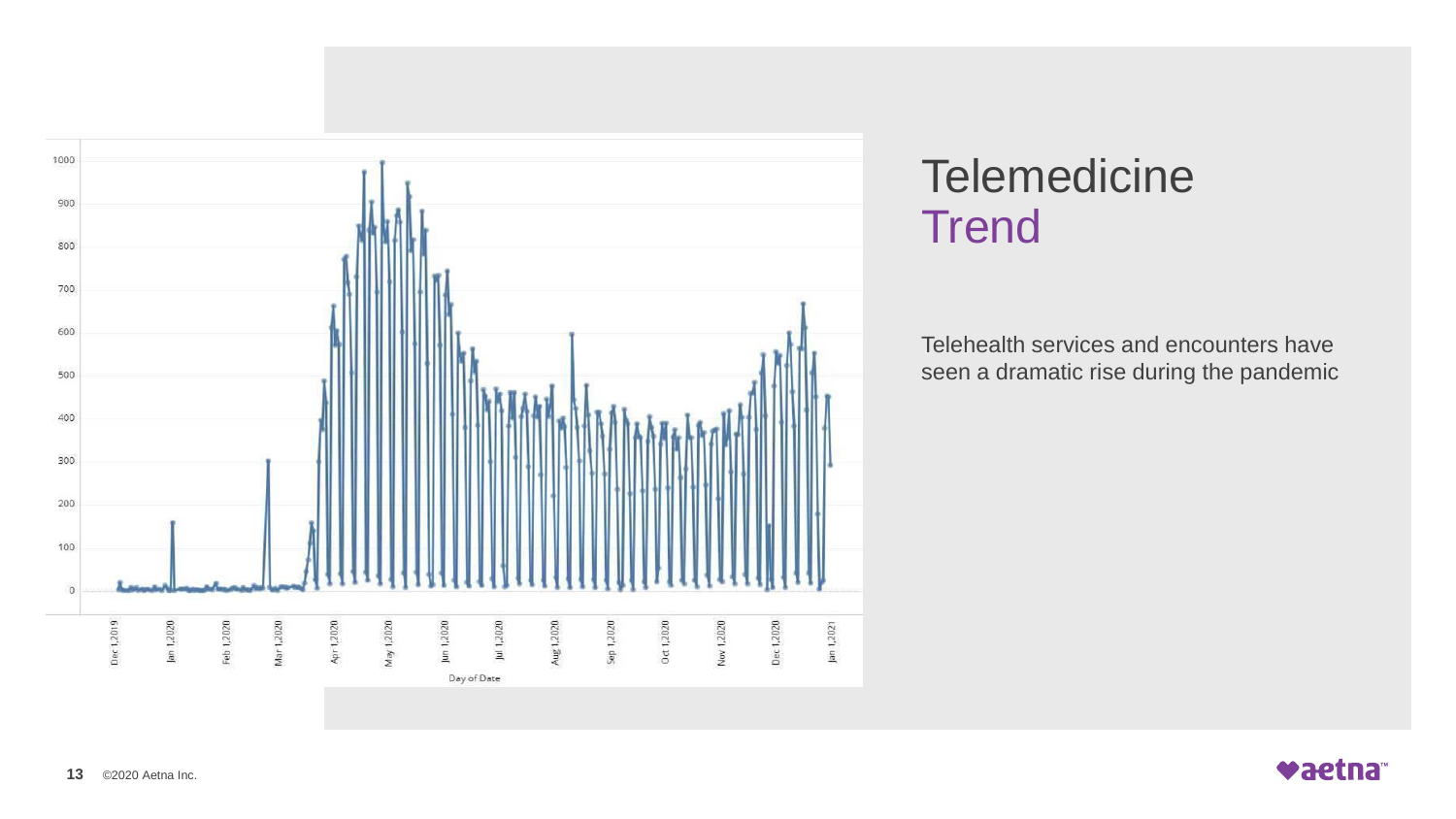

# **Telemedicine Trend**

Telehealth services and encounters have seen a dramatic rise during the pandemic

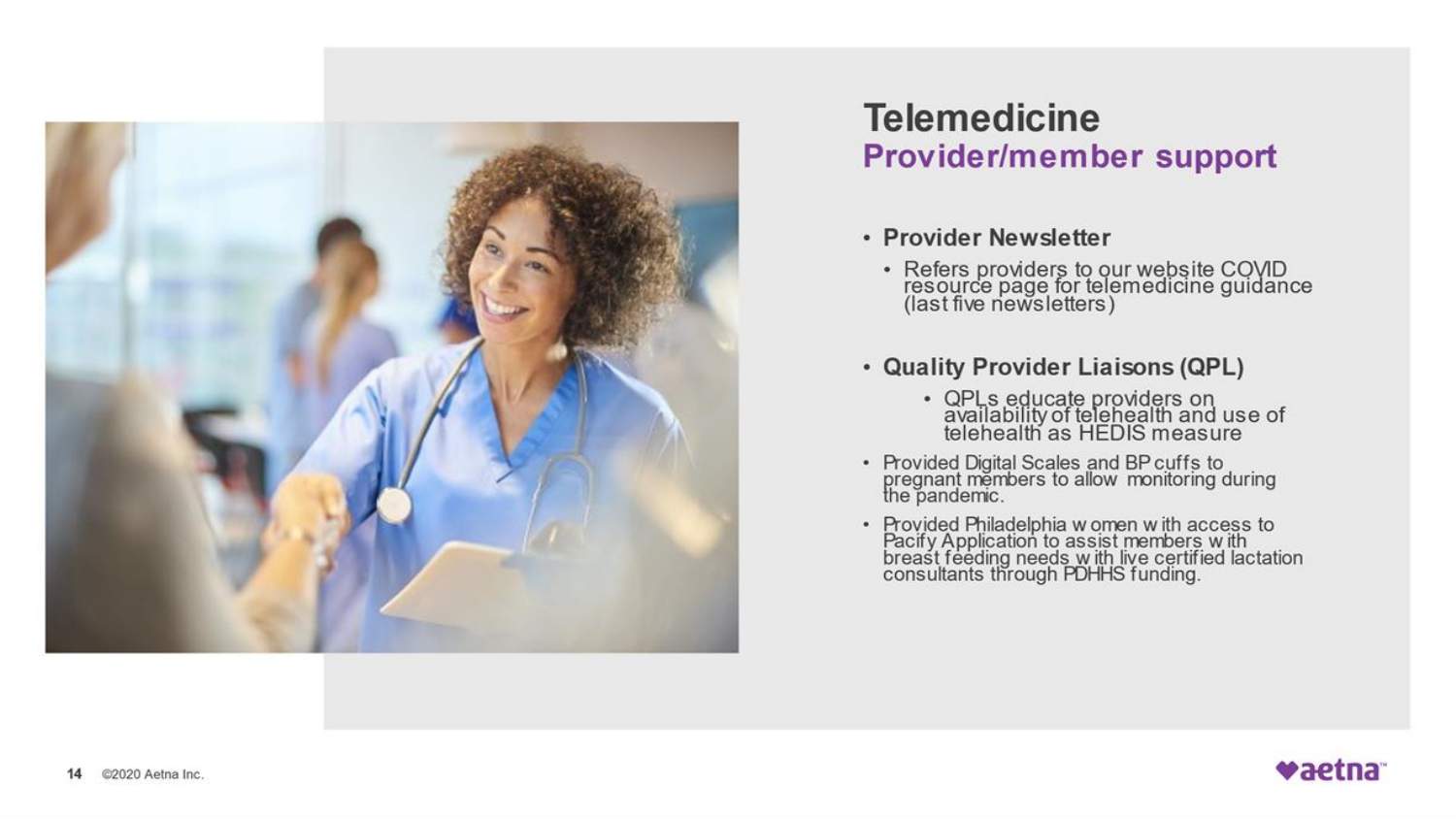

### **Telemedicine Provider/member support**

#### • Provider Newsletter

- Refers providers to our website COVID<br>resource page for telemedicine guidance<br>(last five newsletters)
- Quality Provider Liaisons (QPL)
	- QPLs educate providers on<br>availability of telehealth and use of<br>telehealth as HEDIS measure
- Provided Digital Scales and BP cuffs to<br>pregnant members to allow monitoring during<br>the pandemic.
- Provided Philadelphia w omen w ith access to<br>Pacify Application to assist members w ith<br>breast feeding needs w ith live certified lactation<br>consultants through PDHHS funding.

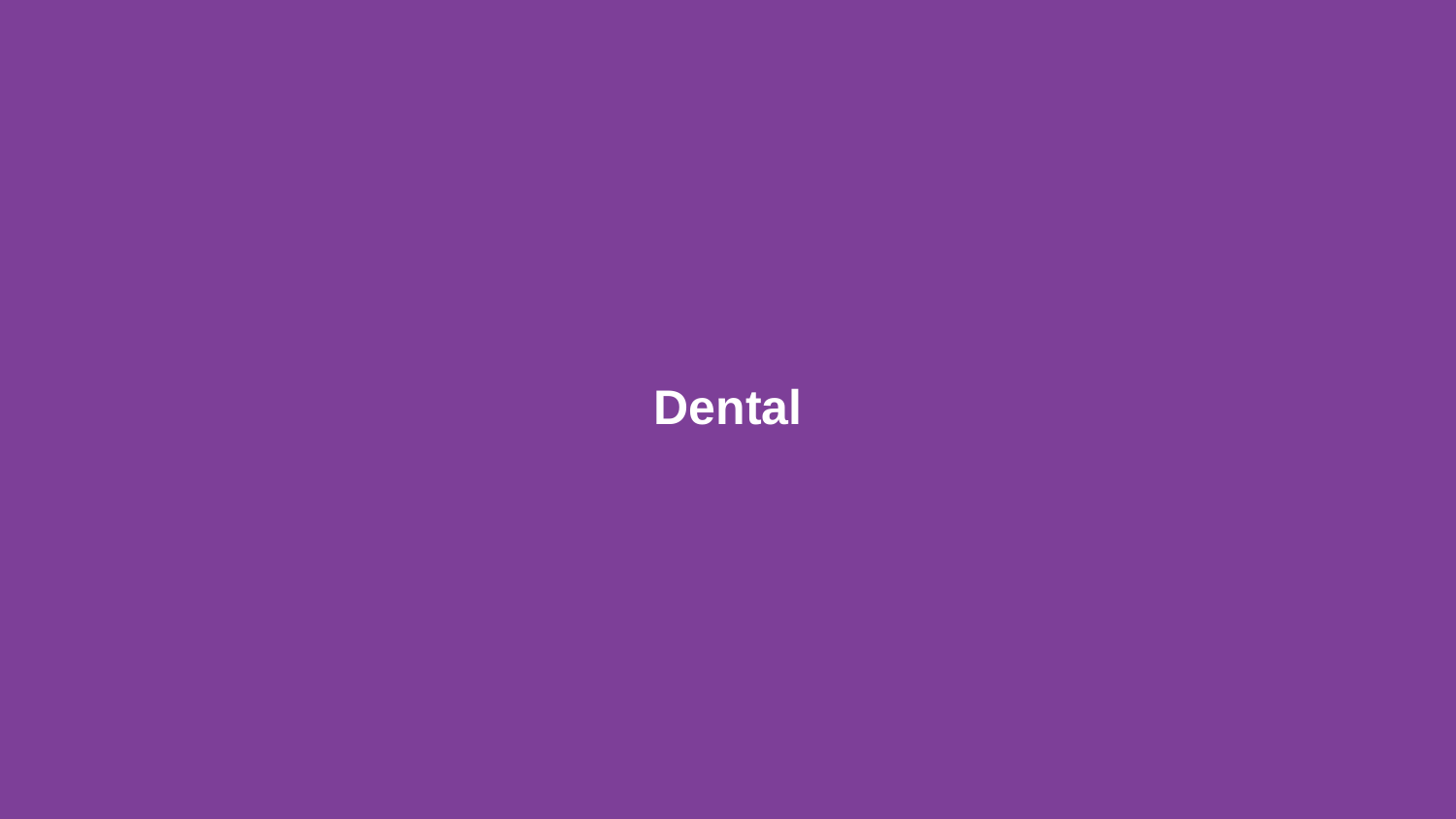# **Dental**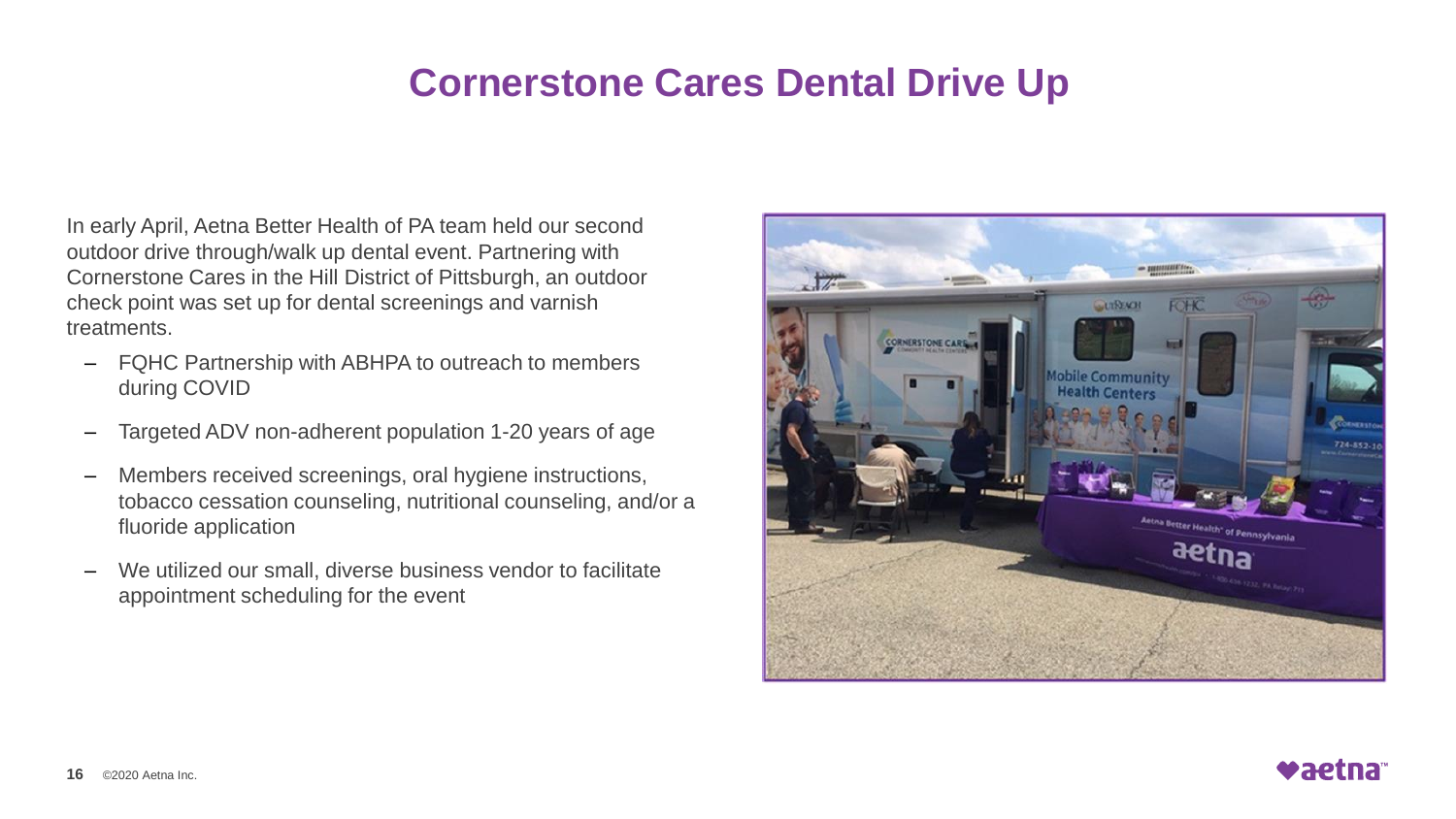### **Cornerstone Cares Dental Drive Up**

In early April, Aetna Better Health of PA team held our second outdoor drive through/walk up dental event. Partnering with Cornerstone Cares in the Hill District of Pittsburgh, an outdoor check point was set up for dental screenings and varnish treatments.

- FQHC Partnership with ABHPA to outreach to members during COVID
- Targeted ADV non-adherent population 1-20 years of age
- Members received screenings, oral hygiene instructions, tobacco cessation counseling, nutritional counseling, and/or a fluoride application
- We utilized our small, diverse business vendor to facilitate appointment scheduling for the event



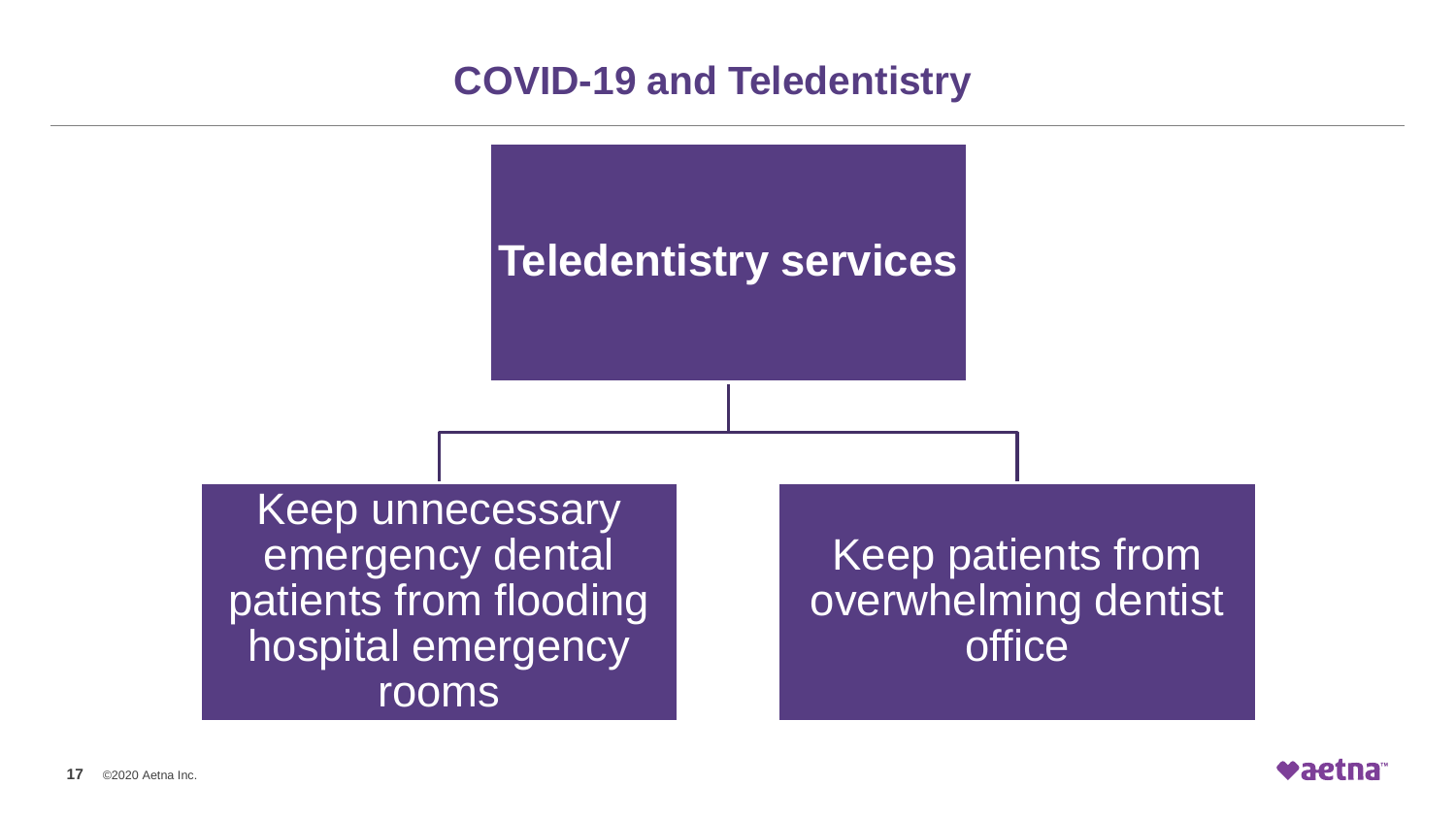### **COVID-19 and Teledentistry**